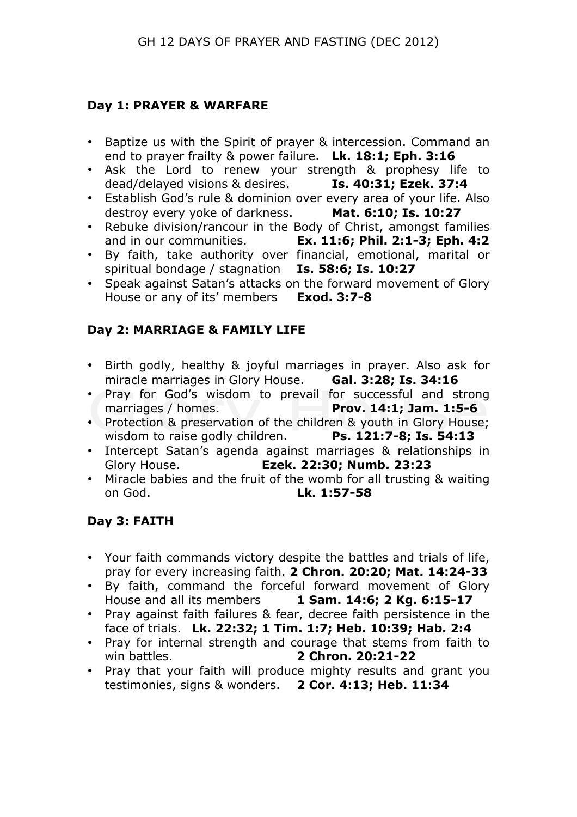#### **Day 1: PRAYER & WARFARE**

- Baptize us with the Spirit of prayer & intercession. Command an end to prayer frailty & power failure. **Lk. 18:1; Eph. 3:16**
- Ask the Lord to renew your strength & prophesy life to dead/delayed visions & desires. **Is. 40:31; Ezek. 37:4**
- Establish God's rule & dominion over every area of your life. Also destroy every yoke of darkness. **Mat. 6:10; Is. 10:27**
- Rebuke division/rancour in the Body of Christ, amongst families and in our communities. **Ex. 11:6; Phil. 2:1-3; Eph. 4:2**
- By faith, take authority over financial, emotional, marital or spiritual bondage / stagnation **Is. 58:6; Is. 10:27**
- Speak against Satan's attacks on the forward movement of Glory House or any of its' members **Exod. 3:7-8**

# **Day 2: MARRIAGE & FAMILY LIFE**

- Birth godly, healthy & joyful marriages in prayer. Also ask for miracle marriages in Glory House. **Gal. 3:28; Is. 34:16**
- Pray for God's wisdom to prevail for successful and strong marriages / homes. **Prov. 14:1; Jam. 1:5-6**
- Protection & preservation of the children & youth in Glory House; wisdom to raise godly children. **Ps. 121:7-8; Is. 54:13**
- Intercept Satan's agenda against marriages & relationships in Glory House. **Ezek. 22:30; Numb. 23:23**
- Miracle babies and the fruit of the womb for all trusting & waiting on God. **Lk. 1:57-58**

# **Day 3: FAITH**

- Your faith commands victory despite the battles and trials of life, pray for every increasing faith. **2 Chron. 20:20; Mat. 14:24-33**
- By faith, command the forceful forward movement of Glory House and all its members **1 Sam. 14:6; 2 Kg. 6:15-17**
- Pray against faith failures & fear, decree faith persistence in the face of trials. **Lk. 22:32; 1 Tim. 1:7; Heb. 10:39; Hab. 2:4**
- Pray for internal strength and courage that stems from faith to win battles. **2 Chron. 20:21-22**
- Pray that your faith will produce mighty results and grant you testimonies, signs & wonders. **2 Cor. 4:13; Heb. 11:34**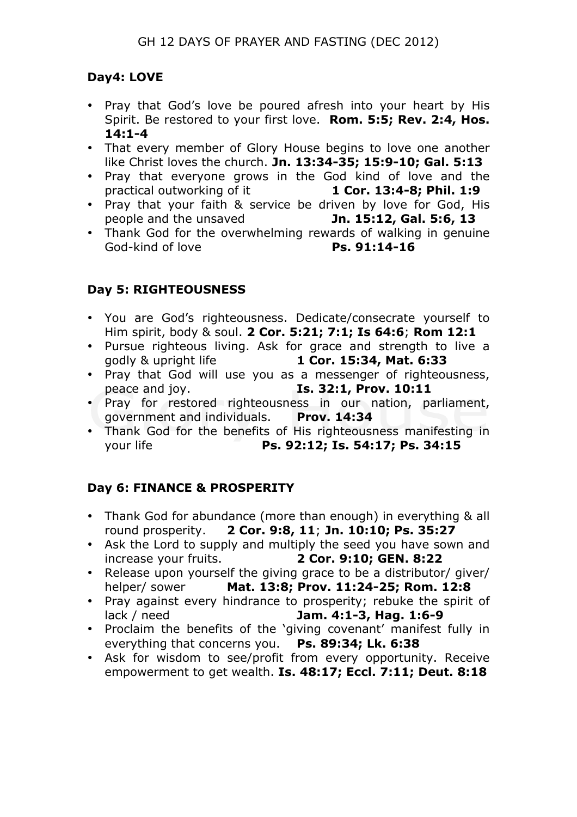# **Day4: LOVE**

- Pray that God's love be poured afresh into your heart by His Spirit. Be restored to your first love. **Rom. 5:5; Rev. 2:4, Hos. 14:1-4**
- That every member of Glory House begins to love one another like Christ loves the church. **Jn. 13:34-35; 15:9-10; Gal. 5:13**
- Pray that everyone grows in the God kind of love and the practical outworking of it **1 Cor. 13:4-8; Phil. 1:9**
- Pray that your faith & service be driven by love for God, His people and the unsaved **Jn. 15:12, Gal. 5:6, 13**
- Thank God for the overwhelming rewards of walking in genuine God-kind of love **Ps. 91:14-16**

### **Day 5: RIGHTEOUSNESS**

- You are God's righteousness. Dedicate/consecrate yourself to Him spirit, body & soul. **2 Cor. 5:21; 7:1; Is 64:6**; **Rom 12:1**
- Pursue righteous living. Ask for grace and strength to live a godly & upright life **1 Cor. 15:34, Mat. 6:33**
- Pray that God will use you as a messenger of righteousness, peace and joy. **Is. 32:1, Prov. 10:11**
- Pray for restored righteousness in our nation, parliament, government and individuals. **Prov. 14:34**
- Thank God for the benefits of His righteousness manifesting in your life **Ps. 92:12; Is. 54:17; Ps. 34:15**

# **Day 6: FINANCE & PROSPERITY**

- Thank God for abundance (more than enough) in everything & all round prosperity. **2 Cor. 9:8, 11**; **Jn. 10:10; Ps. 35:27**
- Ask the Lord to supply and multiply the seed you have sown and increase your fruits. **2 Cor. 9:10; GEN. 8:22**
- Release upon yourself the giving grace to be a distributor/ giver/ helper/ sower **Mat. 13:8; Prov. 11:24-25; Rom. 12:8**
- Pray against every hindrance to prosperity; rebuke the spirit of lack / need **Jam. 4:1-3, Hag. 1:6-9**
- Proclaim the benefits of the 'giving covenant' manifest fully in everything that concerns you. **Ps. 89:34; Lk. 6:38**
- Ask for wisdom to see/profit from every opportunity. Receive empowerment to get wealth. **Is. 48:17; Eccl. 7:11; Deut. 8:18**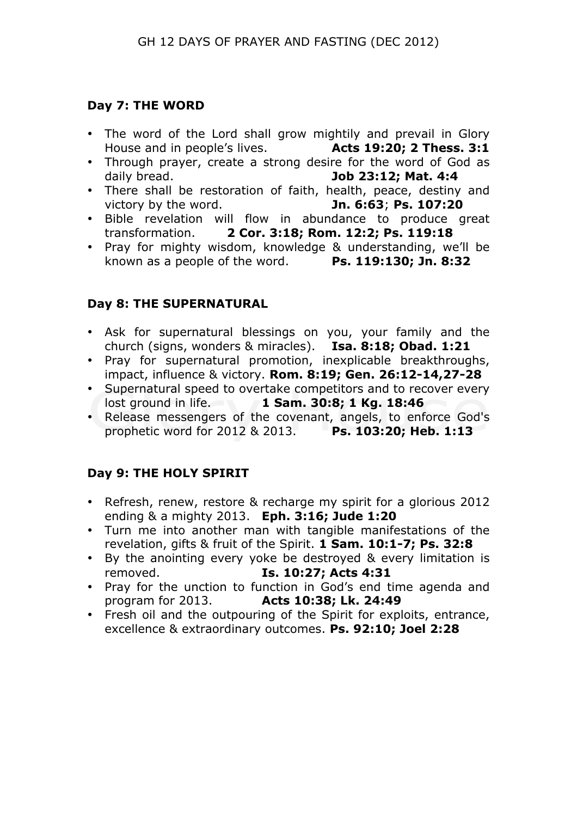## **Day 7: THE WORD**

- The word of the Lord shall grow mightily and prevail in Glory House and in people's lives. **Acts 19:20; 2 Thess. 3:1**
- Through prayer, create a strong desire for the word of God as daily bread. **Job 23:12; Mat. 4:4**
- There shall be restoration of faith, health, peace, destiny and victory by the word. **Jn. 6:63**; **Ps. 107:20**
- Bible revelation will flow in abundance to produce great transformation. 2 Cor. 3:18; Rom. 12:2; Ps. 119:18 transformation. **2 Cor. 3:18; Rom. 12:2; Ps. 119:18**
- Pray for mighty wisdom, knowledge & understanding, we'll be known as a people of the word. **Ps. 119:130; Jn. 8:32**

# **Day 8: THE SUPERNATURAL**

- Ask for supernatural blessings on you, your family and the church (signs, wonders & miracles). **Isa. 8:18; Obad. 1:21**
- Pray for supernatural promotion, inexplicable breakthroughs, impact, influence & victory. **Rom. 8:19; Gen. 26:12-14,27-28**
- Supernatural speed to overtake competitors and to recover every lost ground in life. **1 Sam. 30:8; 1 Kg. 18:46**
- Release messengers of the covenant, angels, to enforce God's prophetic word for 2012 & 2013. **Ps. 103:20; Heb. 1:13**

# **Day 9: THE HOLY SPIRIT**

- Refresh, renew, restore & recharge my spirit for a glorious 2012 ending & a mighty 2013. **Eph. 3:16; Jude 1:20**
- Turn me into another man with tangible manifestations of the revelation, gifts & fruit of the Spirit. **1 Sam. 10:1-7; Ps. 32:8**
- By the anointing every yoke be destroyed & every limitation is removed. **Is. 10:27; Acts 4:31**
- Pray for the unction to function in God's end time agenda and program for 2013. <br>**Acts 10:38: Lk. 24:49** program for 2013. **Acts 10:38; Lk. 24:49**
- Fresh oil and the outpouring of the Spirit for exploits, entrance, excellence & extraordinary outcomes. **Ps. 92:10; Joel 2:28**